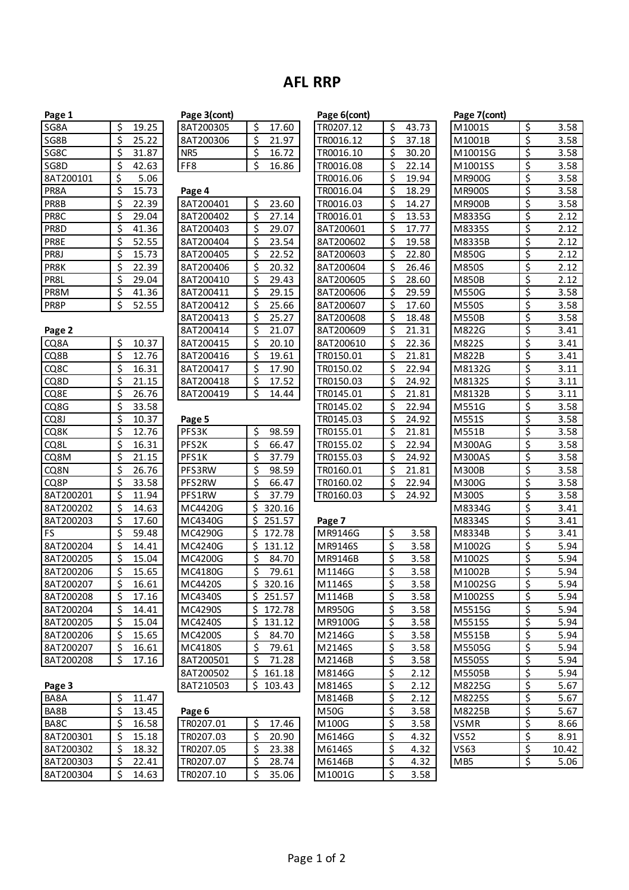## **AFL RRP**

| <u>rage 1</u>        |                                                   |                       |
|----------------------|---------------------------------------------------|-----------------------|
| SG8A                 |                                                   | <u>19.25</u>          |
| SG8B                 |                                                   | 25.22                 |
| SG <sub>8C</sub>     |                                                   | 31.87                 |
| SG8D                 |                                                   | 42.63                 |
| 8AT200101            |                                                   | <u>5.06</u>           |
| PR8A                 |                                                   | 15.73                 |
| PR8B                 |                                                   | 22.39                 |
| PR <sub>8C</sub>     |                                                   | $\overline{29.04}$    |
| PR8D                 |                                                   | 41.36                 |
| PR8E                 |                                                   | 52.55                 |
| PR8J                 |                                                   | $\frac{15.73}{22.39}$ |
| PR8K                 |                                                   |                       |
|                      |                                                   | 29.04                 |
| PR8L<br>PR8M<br>PR8P | <u>ৰ বিৰাক্ত কৰি বিৰাক্ত কৰি বিৰাক্ত কৰি বিৰা</u> | 41.36                 |
|                      |                                                   | 52.55                 |
| Page 2               |                                                   |                       |
| CQ8A                 |                                                   | 10.37                 |
| CQ8B                 |                                                   | 12.76                 |
| CQ8C                 |                                                   | 16.31                 |
| CQ8D<br>CQ8E         |                                                   | 21.15                 |
|                      |                                                   | 26.76                 |
| CQ8G                 |                                                   | 33.58                 |
| CQ8J                 |                                                   | 10.37                 |
| CQ8K                 |                                                   | $\overline{12.76}$    |
| CQ8L                 |                                                   | 16.31                 |
| CQ8M                 |                                                   | 21.15                 |
| CQ8N                 |                                                   |                       |
| CQ8P                 |                                                   | 26.76<br>33.58        |
| 8AT200201            |                                                   | <u>11.94</u>          |
| 8AT200202            |                                                   | 14.63                 |
| 8AT200203            |                                                   | $\frac{1}{17.60}$     |
| FS                   |                                                   | 59.48                 |
| 8AT200204            |                                                   | 14.41                 |
| 8AT200205            |                                                   | 15.04                 |
| 8AT200206            |                                                   | 15.65                 |

| 8ATZUU3U3       |                                        | <u>17.00</u>             |
|-----------------|----------------------------------------|--------------------------|
| 8AT200306       |                                        | 21.97                    |
| NR5             |                                        | 16.72                    |
| FF8             | $rac{5}{5}$                            | 16.86                    |
|                 |                                        |                          |
| Page 4          |                                        |                          |
| 8AT200401       |                                        | 23.60                    |
| 8AT200402       |                                        |                          |
|                 |                                        | 27.14                    |
| 8AT200403       |                                        | 29.07                    |
| 8AT200404       |                                        | 23.54                    |
| 8AT200405       |                                        | 22.52                    |
| 8AT200406       |                                        | 20.32                    |
| 8AT200410       |                                        | 29.43                    |
| 8AT200411       |                                        | 29.15                    |
| 8AT200412       |                                        | 25.66                    |
| 8AT200413       |                                        | 25.27                    |
| 8AT200414       |                                        | 21.07                    |
| 8AT200415       |                                        | 20.10                    |
| 8AT200416       |                                        | 19.61                    |
| 8AT200417       |                                        | 17.90                    |
| 8AT200418       |                                        | 17.52                    |
| 8AT200419       |                                        | 14.44                    |
|                 |                                        |                          |
| Page 5          |                                        |                          |
| PFS3K           |                                        | 98.59                    |
| PFS2K           |                                        | 66.47                    |
| PFS1K           |                                        | 37.79                    |
| PFS3RW          |                                        | 98.59                    |
| PFS2RW          |                                        | 66.47                    |
| PFS1RW          |                                        | 37.79                    |
| MC4420G         |                                        | 320.16                   |
| MC4340G         |                                        |                          |
|                 |                                        | 251.57                   |
| MC4290G         | <u>isisisisisisisisisisisisisisisi</u> | 172.78                   |
| MC4240G         |                                        | 131.12                   |
| MC4200G         |                                        | 84.70                    |
| MC4180G         |                                        | 79.61                    |
| MC4420S         |                                        | 320.16                   |
| MC4340S         |                                        | 251.57                   |
| MC4290S         |                                        | <u>172.78</u>            |
| MC4240S         | \$<br>\$<br>\$<br>\$<br>\$<br>\$       | 131.12                   |
| MC4200S         |                                        | 84.70                    |
| MC4180S         |                                        | 79.61                    |
| 8AT200501       |                                        | 71.28                    |
| 8AT200502       |                                        | 161.18                   |
| 8AT210503       |                                        | 103.43                   |
|                 |                                        |                          |
| Page 6          |                                        |                          |
| TR0207.01       |                                        | 17.46                    |
| TR0207.03       | $rac{5}{2}$                            | 20.90                    |
| TR0207.05       |                                        | 23.38                    |
| $\overline{17}$ |                                        | $\overline{\phantom{0}}$ |

8AT200304 \$ 14.63 TR0207.10 \$ 35.06 M1001G \$ 3.58

| \$<br>\$<br>\$<br>19.25<br>17.60<br>43.73<br>SG8A<br>8AT200305<br>TR0207.12<br>M1001S<br>\$<br>\$<br>\$<br>25.22<br>8AT200306<br>21.97<br>TR0016.12<br>37.18<br>M1001B<br>\$<br>\$<br>\$<br>NR5<br>31.87<br>16.72<br>TR0016.10<br>30.20<br>M1001SG<br>\$<br>\$<br>\$<br>SG8D<br>42.63<br>FF8<br>16.86<br>TR0016.08<br>22.14<br>M1001SS<br>\$<br>\$<br>8AT200101<br>5.06<br>TR0016.06<br>19.94<br>MR900G<br>\$<br>\$<br>15.73<br>PR8A<br>TR0016.04<br>18.29<br><b>MR900S</b><br>Page 4<br>\$<br>\$<br>\$<br>23.60<br>PR8B<br>22.39<br>8AT200401<br>TR0016.03<br>14.27<br><b>MR900B</b><br>\$<br>\$<br>\$<br>PR8C<br>29.04<br>8AT200402<br>27.14<br>TR0016.01<br>13.53<br>M8335G<br>\$<br>\$<br>\$<br>PR8D<br>41.36<br>8AT200403<br>29.07<br>8AT200601<br>17.77<br>M8335S<br>\$<br>\$<br>$\overline{\mathcal{S}}$<br>PR8E<br>52.55<br>8AT200404<br>23.54<br>8AT200602<br>19.58<br>M8335B<br>\$<br>\$<br>\$<br>PR8J<br>15.73<br>8AT200405<br>22.52<br>8AT200603<br>22.80<br>M850G<br>\$<br>\$<br>$\overline{\mathcal{S}}$<br>PR8K<br>22.39<br>8AT200406<br>20.32<br>8AT200604<br>26.46<br>M850S<br>\$<br>\$<br>\$<br>PR8L<br>29.04<br>8AT200410<br>29.43<br>8AT200605<br>28.60<br>M850B<br>\$<br>\$<br>\$<br>PR8M<br>41.36<br>8AT200411<br>29.15<br>8AT200606<br>29.59<br>M550G<br>\$<br>$\overline{\mathcal{S}}$<br>\$<br>PR8P<br>52.55<br>8AT200412<br>25.66<br>8AT200607<br>17.60<br>M550S<br>\$<br>\$<br>8AT200413<br>25.27<br>8AT200608<br>18.48<br>M550B<br>\$<br>\$<br>8AT200414<br>21.07<br>8AT200609<br>21.31<br>M822G<br>\$<br>$\overline{\mathcal{S}}$<br>\$<br>10.37<br>CQ8A<br>8AT200415<br>20.10<br>8AT200610<br>22.36<br>M822S<br>\$<br>\$<br>\$<br>CQ8B<br>12.76<br>8AT200416<br>19.61<br>TR0150.01<br>21.81<br>M822B<br>\$<br>\$<br>\$<br>CQ8C<br>16.31<br>8AT200417<br>17.90<br>TR0150.02<br>22.94<br>M8132G<br>\$<br>\$<br>\$<br>CQ8D<br>21.15<br>8AT200418<br>17.52<br>TR0150.03<br>24.92<br>M8132S<br>\$<br>\$<br>\$<br>CQ8E<br>26.76<br>8AT200419<br>14.44<br>TR0145.01<br>21.81<br>M8132B<br>\$<br>\$<br>CQ8G<br>33.58<br>TR0145.02<br>22.94<br>M551G<br>\$<br>\$<br>CQ8J<br>10.37<br>Page 5<br>TR0145.03<br>24.92<br>M551S<br>\$<br>\$<br>\$<br>PFS3K<br>98.59<br>CQ8K<br>12.76<br>TR0155.01<br>21.81<br>M551B<br>\$<br>\$<br>\$<br>PFS2K<br>CQ8L<br>16.31<br>66.47<br>TR0155.02<br>22.94<br><b>M300AG</b><br>\$<br>\$<br>\$<br>CQ8M<br>21.15<br>PFS1K<br>37.79<br>TR0155.03<br>24.92<br>M300AS<br>\$<br>\$<br>$\overline{\boldsymbol{\zeta}}$<br>CQ8N<br>26.76<br>PFS3RW<br>98.59<br>TR0160.01<br>21.81<br>M300B<br>\$<br>\$<br>\$<br>CQ8P<br>33.58<br>PFS2RW<br>66.47<br>TR0160.02<br>22.94<br>M300G<br>\$<br>\$<br>\$<br>8AT200201<br>11.94<br>PFS1RW<br>37.79<br>TR0160.03<br>24.92<br>M300S<br>\$<br>\$<br>8AT200202<br>14.63<br>MC4420G<br>320.16<br>M8334G<br>\$<br>\$<br>17.60<br>MC4340G<br>251.57<br>M8334S<br>8AT200203<br>Page 7<br>\$<br>\$<br>\$<br>3.58<br>FS<br>59.48<br>MC4290G<br>172.78<br>MR9146G<br>M8334B<br>\$<br>\$<br>\$<br>8AT200204<br>14.41<br>MC4240G<br>131.12<br>MR9146S<br>3.58<br>M1002G<br>\$<br>\$<br>\$<br>8AT200205<br>15.04<br>MC4200G<br>84.70<br>MR9146B<br>3.58<br>M1002S<br>\$<br>\$<br>\$<br>15.65<br>MC4180G<br>79.61<br>M1146G<br>3.58<br>M1002B<br>\$<br>16.61<br>MC4420S<br>\$<br>320.16<br>M1146S<br>3.58<br>M1002SG<br><u>Ş</u><br>\$<br>\$<br>\$<br>17.16<br>MC4340S<br>251.57<br>3.58<br>M1002SS<br>M1146B<br>\$<br>\$<br>\$<br>MC4290S<br>172.78<br>MR950G<br>3.58<br>M5515G<br>14.41<br>\$<br>\$<br>\$<br>MC4240S<br>3.58<br>M5515S<br>15.04<br>131.12<br>MR9100G<br>\$<br>\$<br>\$<br>MC4200S<br>3.58<br>M5515B<br>15.65<br>84.70<br>M2146G<br>\$<br>\$<br>\$<br>M2146S<br>3.58<br>M5505G<br>16.61<br>MC4180S<br>79.61<br>\$<br>\$<br>\$<br>8AT200501<br>3.58<br>M5505S<br>17.16<br>71.28<br>M2146B<br>\$<br>\$<br>8AT200502<br>M5505B<br>161.18<br>M8146G<br>2.12<br>\$<br>\$<br>8AT210503<br>103.43<br>Page 3<br>M8146S<br>2.12<br>M8225G<br>\$<br>\$<br>11.47<br>M8146B<br>M8225S<br>BA8A<br>2.12<br>\$<br>\$<br>BA8B<br>13.45<br><b>M50G</b><br>3.58<br>M8225B<br>Page 6 | Page 1    |  | Page 3(cont) |  | Page 6(cont) |  | Page 7(cont) |  |
|---------------------------------------------------------------------------------------------------------------------------------------------------------------------------------------------------------------------------------------------------------------------------------------------------------------------------------------------------------------------------------------------------------------------------------------------------------------------------------------------------------------------------------------------------------------------------------------------------------------------------------------------------------------------------------------------------------------------------------------------------------------------------------------------------------------------------------------------------------------------------------------------------------------------------------------------------------------------------------------------------------------------------------------------------------------------------------------------------------------------------------------------------------------------------------------------------------------------------------------------------------------------------------------------------------------------------------------------------------------------------------------------------------------------------------------------------------------------------------------------------------------------------------------------------------------------------------------------------------------------------------------------------------------------------------------------------------------------------------------------------------------------------------------------------------------------------------------------------------------------------------------------------------------------------------------------------------------------------------------------------------------------------------------------------------------------------------------------------------------------------------------------------------------------------------------------------------------------------------------------------------------------------------------------------------------------------------------------------------------------------------------------------------------------------------------------------------------------------------------------------------------------------------------------------------------------------------------------------------------------------------------------------------------------------------------------------------------------------------------------------------------------------------------------------------------------------------------------------------------------------------------------------------------------------------------------------------------------------------------------------------------------------------------------------------------------------------------------------------------------------------------------------------------------------------------------------------------------------------------------------------------------------------------------------------------------------------------------------------------------------------------------------------------------------------------------------------------------------------------------------------------------------------------------------------------------------------------------------------------------------------------------------------------------------------------------------------------------------------------------------------------------------------------------------------------------------------------------------------------------------------------------------------------------------------------------------------------------------------------------------------------------------------------------------------|-----------|--|--------------|--|--------------|--|--------------|--|
|                                                                                                                                                                                                                                                                                                                                                                                                                                                                                                                                                                                                                                                                                                                                                                                                                                                                                                                                                                                                                                                                                                                                                                                                                                                                                                                                                                                                                                                                                                                                                                                                                                                                                                                                                                                                                                                                                                                                                                                                                                                                                                                                                                                                                                                                                                                                                                                                                                                                                                                                                                                                                                                                                                                                                                                                                                                                                                                                                                                                                                                                                                                                                                                                                                                                                                                                                                                                                                                                                                                                                                                                                                                                                                                                                                                                                                                                                                                                                                                                                                                         |           |  |              |  |              |  |              |  |
|                                                                                                                                                                                                                                                                                                                                                                                                                                                                                                                                                                                                                                                                                                                                                                                                                                                                                                                                                                                                                                                                                                                                                                                                                                                                                                                                                                                                                                                                                                                                                                                                                                                                                                                                                                                                                                                                                                                                                                                                                                                                                                                                                                                                                                                                                                                                                                                                                                                                                                                                                                                                                                                                                                                                                                                                                                                                                                                                                                                                                                                                                                                                                                                                                                                                                                                                                                                                                                                                                                                                                                                                                                                                                                                                                                                                                                                                                                                                                                                                                                                         | SG8B      |  |              |  |              |  |              |  |
|                                                                                                                                                                                                                                                                                                                                                                                                                                                                                                                                                                                                                                                                                                                                                                                                                                                                                                                                                                                                                                                                                                                                                                                                                                                                                                                                                                                                                                                                                                                                                                                                                                                                                                                                                                                                                                                                                                                                                                                                                                                                                                                                                                                                                                                                                                                                                                                                                                                                                                                                                                                                                                                                                                                                                                                                                                                                                                                                                                                                                                                                                                                                                                                                                                                                                                                                                                                                                                                                                                                                                                                                                                                                                                                                                                                                                                                                                                                                                                                                                                                         | SG8C      |  |              |  |              |  |              |  |
|                                                                                                                                                                                                                                                                                                                                                                                                                                                                                                                                                                                                                                                                                                                                                                                                                                                                                                                                                                                                                                                                                                                                                                                                                                                                                                                                                                                                                                                                                                                                                                                                                                                                                                                                                                                                                                                                                                                                                                                                                                                                                                                                                                                                                                                                                                                                                                                                                                                                                                                                                                                                                                                                                                                                                                                                                                                                                                                                                                                                                                                                                                                                                                                                                                                                                                                                                                                                                                                                                                                                                                                                                                                                                                                                                                                                                                                                                                                                                                                                                                                         |           |  |              |  |              |  |              |  |
|                                                                                                                                                                                                                                                                                                                                                                                                                                                                                                                                                                                                                                                                                                                                                                                                                                                                                                                                                                                                                                                                                                                                                                                                                                                                                                                                                                                                                                                                                                                                                                                                                                                                                                                                                                                                                                                                                                                                                                                                                                                                                                                                                                                                                                                                                                                                                                                                                                                                                                                                                                                                                                                                                                                                                                                                                                                                                                                                                                                                                                                                                                                                                                                                                                                                                                                                                                                                                                                                                                                                                                                                                                                                                                                                                                                                                                                                                                                                                                                                                                                         |           |  |              |  |              |  |              |  |
|                                                                                                                                                                                                                                                                                                                                                                                                                                                                                                                                                                                                                                                                                                                                                                                                                                                                                                                                                                                                                                                                                                                                                                                                                                                                                                                                                                                                                                                                                                                                                                                                                                                                                                                                                                                                                                                                                                                                                                                                                                                                                                                                                                                                                                                                                                                                                                                                                                                                                                                                                                                                                                                                                                                                                                                                                                                                                                                                                                                                                                                                                                                                                                                                                                                                                                                                                                                                                                                                                                                                                                                                                                                                                                                                                                                                                                                                                                                                                                                                                                                         |           |  |              |  |              |  |              |  |
|                                                                                                                                                                                                                                                                                                                                                                                                                                                                                                                                                                                                                                                                                                                                                                                                                                                                                                                                                                                                                                                                                                                                                                                                                                                                                                                                                                                                                                                                                                                                                                                                                                                                                                                                                                                                                                                                                                                                                                                                                                                                                                                                                                                                                                                                                                                                                                                                                                                                                                                                                                                                                                                                                                                                                                                                                                                                                                                                                                                                                                                                                                                                                                                                                                                                                                                                                                                                                                                                                                                                                                                                                                                                                                                                                                                                                                                                                                                                                                                                                                                         |           |  |              |  |              |  |              |  |
|                                                                                                                                                                                                                                                                                                                                                                                                                                                                                                                                                                                                                                                                                                                                                                                                                                                                                                                                                                                                                                                                                                                                                                                                                                                                                                                                                                                                                                                                                                                                                                                                                                                                                                                                                                                                                                                                                                                                                                                                                                                                                                                                                                                                                                                                                                                                                                                                                                                                                                                                                                                                                                                                                                                                                                                                                                                                                                                                                                                                                                                                                                                                                                                                                                                                                                                                                                                                                                                                                                                                                                                                                                                                                                                                                                                                                                                                                                                                                                                                                                                         |           |  |              |  |              |  |              |  |
|                                                                                                                                                                                                                                                                                                                                                                                                                                                                                                                                                                                                                                                                                                                                                                                                                                                                                                                                                                                                                                                                                                                                                                                                                                                                                                                                                                                                                                                                                                                                                                                                                                                                                                                                                                                                                                                                                                                                                                                                                                                                                                                                                                                                                                                                                                                                                                                                                                                                                                                                                                                                                                                                                                                                                                                                                                                                                                                                                                                                                                                                                                                                                                                                                                                                                                                                                                                                                                                                                                                                                                                                                                                                                                                                                                                                                                                                                                                                                                                                                                                         |           |  |              |  |              |  |              |  |
|                                                                                                                                                                                                                                                                                                                                                                                                                                                                                                                                                                                                                                                                                                                                                                                                                                                                                                                                                                                                                                                                                                                                                                                                                                                                                                                                                                                                                                                                                                                                                                                                                                                                                                                                                                                                                                                                                                                                                                                                                                                                                                                                                                                                                                                                                                                                                                                                                                                                                                                                                                                                                                                                                                                                                                                                                                                                                                                                                                                                                                                                                                                                                                                                                                                                                                                                                                                                                                                                                                                                                                                                                                                                                                                                                                                                                                                                                                                                                                                                                                                         |           |  |              |  |              |  |              |  |
|                                                                                                                                                                                                                                                                                                                                                                                                                                                                                                                                                                                                                                                                                                                                                                                                                                                                                                                                                                                                                                                                                                                                                                                                                                                                                                                                                                                                                                                                                                                                                                                                                                                                                                                                                                                                                                                                                                                                                                                                                                                                                                                                                                                                                                                                                                                                                                                                                                                                                                                                                                                                                                                                                                                                                                                                                                                                                                                                                                                                                                                                                                                                                                                                                                                                                                                                                                                                                                                                                                                                                                                                                                                                                                                                                                                                                                                                                                                                                                                                                                                         |           |  |              |  |              |  |              |  |
|                                                                                                                                                                                                                                                                                                                                                                                                                                                                                                                                                                                                                                                                                                                                                                                                                                                                                                                                                                                                                                                                                                                                                                                                                                                                                                                                                                                                                                                                                                                                                                                                                                                                                                                                                                                                                                                                                                                                                                                                                                                                                                                                                                                                                                                                                                                                                                                                                                                                                                                                                                                                                                                                                                                                                                                                                                                                                                                                                                                                                                                                                                                                                                                                                                                                                                                                                                                                                                                                                                                                                                                                                                                                                                                                                                                                                                                                                                                                                                                                                                                         |           |  |              |  |              |  |              |  |
|                                                                                                                                                                                                                                                                                                                                                                                                                                                                                                                                                                                                                                                                                                                                                                                                                                                                                                                                                                                                                                                                                                                                                                                                                                                                                                                                                                                                                                                                                                                                                                                                                                                                                                                                                                                                                                                                                                                                                                                                                                                                                                                                                                                                                                                                                                                                                                                                                                                                                                                                                                                                                                                                                                                                                                                                                                                                                                                                                                                                                                                                                                                                                                                                                                                                                                                                                                                                                                                                                                                                                                                                                                                                                                                                                                                                                                                                                                                                                                                                                                                         |           |  |              |  |              |  |              |  |
|                                                                                                                                                                                                                                                                                                                                                                                                                                                                                                                                                                                                                                                                                                                                                                                                                                                                                                                                                                                                                                                                                                                                                                                                                                                                                                                                                                                                                                                                                                                                                                                                                                                                                                                                                                                                                                                                                                                                                                                                                                                                                                                                                                                                                                                                                                                                                                                                                                                                                                                                                                                                                                                                                                                                                                                                                                                                                                                                                                                                                                                                                                                                                                                                                                                                                                                                                                                                                                                                                                                                                                                                                                                                                                                                                                                                                                                                                                                                                                                                                                                         |           |  |              |  |              |  |              |  |
|                                                                                                                                                                                                                                                                                                                                                                                                                                                                                                                                                                                                                                                                                                                                                                                                                                                                                                                                                                                                                                                                                                                                                                                                                                                                                                                                                                                                                                                                                                                                                                                                                                                                                                                                                                                                                                                                                                                                                                                                                                                                                                                                                                                                                                                                                                                                                                                                                                                                                                                                                                                                                                                                                                                                                                                                                                                                                                                                                                                                                                                                                                                                                                                                                                                                                                                                                                                                                                                                                                                                                                                                                                                                                                                                                                                                                                                                                                                                                                                                                                                         |           |  |              |  |              |  |              |  |
|                                                                                                                                                                                                                                                                                                                                                                                                                                                                                                                                                                                                                                                                                                                                                                                                                                                                                                                                                                                                                                                                                                                                                                                                                                                                                                                                                                                                                                                                                                                                                                                                                                                                                                                                                                                                                                                                                                                                                                                                                                                                                                                                                                                                                                                                                                                                                                                                                                                                                                                                                                                                                                                                                                                                                                                                                                                                                                                                                                                                                                                                                                                                                                                                                                                                                                                                                                                                                                                                                                                                                                                                                                                                                                                                                                                                                                                                                                                                                                                                                                                         |           |  |              |  |              |  |              |  |
|                                                                                                                                                                                                                                                                                                                                                                                                                                                                                                                                                                                                                                                                                                                                                                                                                                                                                                                                                                                                                                                                                                                                                                                                                                                                                                                                                                                                                                                                                                                                                                                                                                                                                                                                                                                                                                                                                                                                                                                                                                                                                                                                                                                                                                                                                                                                                                                                                                                                                                                                                                                                                                                                                                                                                                                                                                                                                                                                                                                                                                                                                                                                                                                                                                                                                                                                                                                                                                                                                                                                                                                                                                                                                                                                                                                                                                                                                                                                                                                                                                                         | Page 2    |  |              |  |              |  |              |  |
|                                                                                                                                                                                                                                                                                                                                                                                                                                                                                                                                                                                                                                                                                                                                                                                                                                                                                                                                                                                                                                                                                                                                                                                                                                                                                                                                                                                                                                                                                                                                                                                                                                                                                                                                                                                                                                                                                                                                                                                                                                                                                                                                                                                                                                                                                                                                                                                                                                                                                                                                                                                                                                                                                                                                                                                                                                                                                                                                                                                                                                                                                                                                                                                                                                                                                                                                                                                                                                                                                                                                                                                                                                                                                                                                                                                                                                                                                                                                                                                                                                                         |           |  |              |  |              |  |              |  |
|                                                                                                                                                                                                                                                                                                                                                                                                                                                                                                                                                                                                                                                                                                                                                                                                                                                                                                                                                                                                                                                                                                                                                                                                                                                                                                                                                                                                                                                                                                                                                                                                                                                                                                                                                                                                                                                                                                                                                                                                                                                                                                                                                                                                                                                                                                                                                                                                                                                                                                                                                                                                                                                                                                                                                                                                                                                                                                                                                                                                                                                                                                                                                                                                                                                                                                                                                                                                                                                                                                                                                                                                                                                                                                                                                                                                                                                                                                                                                                                                                                                         |           |  |              |  |              |  |              |  |
|                                                                                                                                                                                                                                                                                                                                                                                                                                                                                                                                                                                                                                                                                                                                                                                                                                                                                                                                                                                                                                                                                                                                                                                                                                                                                                                                                                                                                                                                                                                                                                                                                                                                                                                                                                                                                                                                                                                                                                                                                                                                                                                                                                                                                                                                                                                                                                                                                                                                                                                                                                                                                                                                                                                                                                                                                                                                                                                                                                                                                                                                                                                                                                                                                                                                                                                                                                                                                                                                                                                                                                                                                                                                                                                                                                                                                                                                                                                                                                                                                                                         |           |  |              |  |              |  |              |  |
|                                                                                                                                                                                                                                                                                                                                                                                                                                                                                                                                                                                                                                                                                                                                                                                                                                                                                                                                                                                                                                                                                                                                                                                                                                                                                                                                                                                                                                                                                                                                                                                                                                                                                                                                                                                                                                                                                                                                                                                                                                                                                                                                                                                                                                                                                                                                                                                                                                                                                                                                                                                                                                                                                                                                                                                                                                                                                                                                                                                                                                                                                                                                                                                                                                                                                                                                                                                                                                                                                                                                                                                                                                                                                                                                                                                                                                                                                                                                                                                                                                                         |           |  |              |  |              |  |              |  |
|                                                                                                                                                                                                                                                                                                                                                                                                                                                                                                                                                                                                                                                                                                                                                                                                                                                                                                                                                                                                                                                                                                                                                                                                                                                                                                                                                                                                                                                                                                                                                                                                                                                                                                                                                                                                                                                                                                                                                                                                                                                                                                                                                                                                                                                                                                                                                                                                                                                                                                                                                                                                                                                                                                                                                                                                                                                                                                                                                                                                                                                                                                                                                                                                                                                                                                                                                                                                                                                                                                                                                                                                                                                                                                                                                                                                                                                                                                                                                                                                                                                         |           |  |              |  |              |  |              |  |
|                                                                                                                                                                                                                                                                                                                                                                                                                                                                                                                                                                                                                                                                                                                                                                                                                                                                                                                                                                                                                                                                                                                                                                                                                                                                                                                                                                                                                                                                                                                                                                                                                                                                                                                                                                                                                                                                                                                                                                                                                                                                                                                                                                                                                                                                                                                                                                                                                                                                                                                                                                                                                                                                                                                                                                                                                                                                                                                                                                                                                                                                                                                                                                                                                                                                                                                                                                                                                                                                                                                                                                                                                                                                                                                                                                                                                                                                                                                                                                                                                                                         |           |  |              |  |              |  |              |  |
|                                                                                                                                                                                                                                                                                                                                                                                                                                                                                                                                                                                                                                                                                                                                                                                                                                                                                                                                                                                                                                                                                                                                                                                                                                                                                                                                                                                                                                                                                                                                                                                                                                                                                                                                                                                                                                                                                                                                                                                                                                                                                                                                                                                                                                                                                                                                                                                                                                                                                                                                                                                                                                                                                                                                                                                                                                                                                                                                                                                                                                                                                                                                                                                                                                                                                                                                                                                                                                                                                                                                                                                                                                                                                                                                                                                                                                                                                                                                                                                                                                                         |           |  |              |  |              |  |              |  |
|                                                                                                                                                                                                                                                                                                                                                                                                                                                                                                                                                                                                                                                                                                                                                                                                                                                                                                                                                                                                                                                                                                                                                                                                                                                                                                                                                                                                                                                                                                                                                                                                                                                                                                                                                                                                                                                                                                                                                                                                                                                                                                                                                                                                                                                                                                                                                                                                                                                                                                                                                                                                                                                                                                                                                                                                                                                                                                                                                                                                                                                                                                                                                                                                                                                                                                                                                                                                                                                                                                                                                                                                                                                                                                                                                                                                                                                                                                                                                                                                                                                         |           |  |              |  |              |  |              |  |
|                                                                                                                                                                                                                                                                                                                                                                                                                                                                                                                                                                                                                                                                                                                                                                                                                                                                                                                                                                                                                                                                                                                                                                                                                                                                                                                                                                                                                                                                                                                                                                                                                                                                                                                                                                                                                                                                                                                                                                                                                                                                                                                                                                                                                                                                                                                                                                                                                                                                                                                                                                                                                                                                                                                                                                                                                                                                                                                                                                                                                                                                                                                                                                                                                                                                                                                                                                                                                                                                                                                                                                                                                                                                                                                                                                                                                                                                                                                                                                                                                                                         |           |  |              |  |              |  |              |  |
|                                                                                                                                                                                                                                                                                                                                                                                                                                                                                                                                                                                                                                                                                                                                                                                                                                                                                                                                                                                                                                                                                                                                                                                                                                                                                                                                                                                                                                                                                                                                                                                                                                                                                                                                                                                                                                                                                                                                                                                                                                                                                                                                                                                                                                                                                                                                                                                                                                                                                                                                                                                                                                                                                                                                                                                                                                                                                                                                                                                                                                                                                                                                                                                                                                                                                                                                                                                                                                                                                                                                                                                                                                                                                                                                                                                                                                                                                                                                                                                                                                                         |           |  |              |  |              |  |              |  |
|                                                                                                                                                                                                                                                                                                                                                                                                                                                                                                                                                                                                                                                                                                                                                                                                                                                                                                                                                                                                                                                                                                                                                                                                                                                                                                                                                                                                                                                                                                                                                                                                                                                                                                                                                                                                                                                                                                                                                                                                                                                                                                                                                                                                                                                                                                                                                                                                                                                                                                                                                                                                                                                                                                                                                                                                                                                                                                                                                                                                                                                                                                                                                                                                                                                                                                                                                                                                                                                                                                                                                                                                                                                                                                                                                                                                                                                                                                                                                                                                                                                         |           |  |              |  |              |  |              |  |
|                                                                                                                                                                                                                                                                                                                                                                                                                                                                                                                                                                                                                                                                                                                                                                                                                                                                                                                                                                                                                                                                                                                                                                                                                                                                                                                                                                                                                                                                                                                                                                                                                                                                                                                                                                                                                                                                                                                                                                                                                                                                                                                                                                                                                                                                                                                                                                                                                                                                                                                                                                                                                                                                                                                                                                                                                                                                                                                                                                                                                                                                                                                                                                                                                                                                                                                                                                                                                                                                                                                                                                                                                                                                                                                                                                                                                                                                                                                                                                                                                                                         |           |  |              |  |              |  |              |  |
|                                                                                                                                                                                                                                                                                                                                                                                                                                                                                                                                                                                                                                                                                                                                                                                                                                                                                                                                                                                                                                                                                                                                                                                                                                                                                                                                                                                                                                                                                                                                                                                                                                                                                                                                                                                                                                                                                                                                                                                                                                                                                                                                                                                                                                                                                                                                                                                                                                                                                                                                                                                                                                                                                                                                                                                                                                                                                                                                                                                                                                                                                                                                                                                                                                                                                                                                                                                                                                                                                                                                                                                                                                                                                                                                                                                                                                                                                                                                                                                                                                                         |           |  |              |  |              |  |              |  |
|                                                                                                                                                                                                                                                                                                                                                                                                                                                                                                                                                                                                                                                                                                                                                                                                                                                                                                                                                                                                                                                                                                                                                                                                                                                                                                                                                                                                                                                                                                                                                                                                                                                                                                                                                                                                                                                                                                                                                                                                                                                                                                                                                                                                                                                                                                                                                                                                                                                                                                                                                                                                                                                                                                                                                                                                                                                                                                                                                                                                                                                                                                                                                                                                                                                                                                                                                                                                                                                                                                                                                                                                                                                                                                                                                                                                                                                                                                                                                                                                                                                         |           |  |              |  |              |  |              |  |
|                                                                                                                                                                                                                                                                                                                                                                                                                                                                                                                                                                                                                                                                                                                                                                                                                                                                                                                                                                                                                                                                                                                                                                                                                                                                                                                                                                                                                                                                                                                                                                                                                                                                                                                                                                                                                                                                                                                                                                                                                                                                                                                                                                                                                                                                                                                                                                                                                                                                                                                                                                                                                                                                                                                                                                                                                                                                                                                                                                                                                                                                                                                                                                                                                                                                                                                                                                                                                                                                                                                                                                                                                                                                                                                                                                                                                                                                                                                                                                                                                                                         |           |  |              |  |              |  |              |  |
|                                                                                                                                                                                                                                                                                                                                                                                                                                                                                                                                                                                                                                                                                                                                                                                                                                                                                                                                                                                                                                                                                                                                                                                                                                                                                                                                                                                                                                                                                                                                                                                                                                                                                                                                                                                                                                                                                                                                                                                                                                                                                                                                                                                                                                                                                                                                                                                                                                                                                                                                                                                                                                                                                                                                                                                                                                                                                                                                                                                                                                                                                                                                                                                                                                                                                                                                                                                                                                                                                                                                                                                                                                                                                                                                                                                                                                                                                                                                                                                                                                                         |           |  |              |  |              |  |              |  |
|                                                                                                                                                                                                                                                                                                                                                                                                                                                                                                                                                                                                                                                                                                                                                                                                                                                                                                                                                                                                                                                                                                                                                                                                                                                                                                                                                                                                                                                                                                                                                                                                                                                                                                                                                                                                                                                                                                                                                                                                                                                                                                                                                                                                                                                                                                                                                                                                                                                                                                                                                                                                                                                                                                                                                                                                                                                                                                                                                                                                                                                                                                                                                                                                                                                                                                                                                                                                                                                                                                                                                                                                                                                                                                                                                                                                                                                                                                                                                                                                                                                         |           |  |              |  |              |  |              |  |
|                                                                                                                                                                                                                                                                                                                                                                                                                                                                                                                                                                                                                                                                                                                                                                                                                                                                                                                                                                                                                                                                                                                                                                                                                                                                                                                                                                                                                                                                                                                                                                                                                                                                                                                                                                                                                                                                                                                                                                                                                                                                                                                                                                                                                                                                                                                                                                                                                                                                                                                                                                                                                                                                                                                                                                                                                                                                                                                                                                                                                                                                                                                                                                                                                                                                                                                                                                                                                                                                                                                                                                                                                                                                                                                                                                                                                                                                                                                                                                                                                                                         |           |  |              |  |              |  |              |  |
|                                                                                                                                                                                                                                                                                                                                                                                                                                                                                                                                                                                                                                                                                                                                                                                                                                                                                                                                                                                                                                                                                                                                                                                                                                                                                                                                                                                                                                                                                                                                                                                                                                                                                                                                                                                                                                                                                                                                                                                                                                                                                                                                                                                                                                                                                                                                                                                                                                                                                                                                                                                                                                                                                                                                                                                                                                                                                                                                                                                                                                                                                                                                                                                                                                                                                                                                                                                                                                                                                                                                                                                                                                                                                                                                                                                                                                                                                                                                                                                                                                                         | 8AT200206 |  |              |  |              |  |              |  |
|                                                                                                                                                                                                                                                                                                                                                                                                                                                                                                                                                                                                                                                                                                                                                                                                                                                                                                                                                                                                                                                                                                                                                                                                                                                                                                                                                                                                                                                                                                                                                                                                                                                                                                                                                                                                                                                                                                                                                                                                                                                                                                                                                                                                                                                                                                                                                                                                                                                                                                                                                                                                                                                                                                                                                                                                                                                                                                                                                                                                                                                                                                                                                                                                                                                                                                                                                                                                                                                                                                                                                                                                                                                                                                                                                                                                                                                                                                                                                                                                                                                         | 8AT200207 |  |              |  |              |  |              |  |
|                                                                                                                                                                                                                                                                                                                                                                                                                                                                                                                                                                                                                                                                                                                                                                                                                                                                                                                                                                                                                                                                                                                                                                                                                                                                                                                                                                                                                                                                                                                                                                                                                                                                                                                                                                                                                                                                                                                                                                                                                                                                                                                                                                                                                                                                                                                                                                                                                                                                                                                                                                                                                                                                                                                                                                                                                                                                                                                                                                                                                                                                                                                                                                                                                                                                                                                                                                                                                                                                                                                                                                                                                                                                                                                                                                                                                                                                                                                                                                                                                                                         | 8AT200208 |  |              |  |              |  |              |  |
|                                                                                                                                                                                                                                                                                                                                                                                                                                                                                                                                                                                                                                                                                                                                                                                                                                                                                                                                                                                                                                                                                                                                                                                                                                                                                                                                                                                                                                                                                                                                                                                                                                                                                                                                                                                                                                                                                                                                                                                                                                                                                                                                                                                                                                                                                                                                                                                                                                                                                                                                                                                                                                                                                                                                                                                                                                                                                                                                                                                                                                                                                                                                                                                                                                                                                                                                                                                                                                                                                                                                                                                                                                                                                                                                                                                                                                                                                                                                                                                                                                                         | 8AT200204 |  |              |  |              |  |              |  |
|                                                                                                                                                                                                                                                                                                                                                                                                                                                                                                                                                                                                                                                                                                                                                                                                                                                                                                                                                                                                                                                                                                                                                                                                                                                                                                                                                                                                                                                                                                                                                                                                                                                                                                                                                                                                                                                                                                                                                                                                                                                                                                                                                                                                                                                                                                                                                                                                                                                                                                                                                                                                                                                                                                                                                                                                                                                                                                                                                                                                                                                                                                                                                                                                                                                                                                                                                                                                                                                                                                                                                                                                                                                                                                                                                                                                                                                                                                                                                                                                                                                         | 8AT200205 |  |              |  |              |  |              |  |
|                                                                                                                                                                                                                                                                                                                                                                                                                                                                                                                                                                                                                                                                                                                                                                                                                                                                                                                                                                                                                                                                                                                                                                                                                                                                                                                                                                                                                                                                                                                                                                                                                                                                                                                                                                                                                                                                                                                                                                                                                                                                                                                                                                                                                                                                                                                                                                                                                                                                                                                                                                                                                                                                                                                                                                                                                                                                                                                                                                                                                                                                                                                                                                                                                                                                                                                                                                                                                                                                                                                                                                                                                                                                                                                                                                                                                                                                                                                                                                                                                                                         | 8AT200206 |  |              |  |              |  |              |  |
|                                                                                                                                                                                                                                                                                                                                                                                                                                                                                                                                                                                                                                                                                                                                                                                                                                                                                                                                                                                                                                                                                                                                                                                                                                                                                                                                                                                                                                                                                                                                                                                                                                                                                                                                                                                                                                                                                                                                                                                                                                                                                                                                                                                                                                                                                                                                                                                                                                                                                                                                                                                                                                                                                                                                                                                                                                                                                                                                                                                                                                                                                                                                                                                                                                                                                                                                                                                                                                                                                                                                                                                                                                                                                                                                                                                                                                                                                                                                                                                                                                                         | 8AT200207 |  |              |  |              |  |              |  |
|                                                                                                                                                                                                                                                                                                                                                                                                                                                                                                                                                                                                                                                                                                                                                                                                                                                                                                                                                                                                                                                                                                                                                                                                                                                                                                                                                                                                                                                                                                                                                                                                                                                                                                                                                                                                                                                                                                                                                                                                                                                                                                                                                                                                                                                                                                                                                                                                                                                                                                                                                                                                                                                                                                                                                                                                                                                                                                                                                                                                                                                                                                                                                                                                                                                                                                                                                                                                                                                                                                                                                                                                                                                                                                                                                                                                                                                                                                                                                                                                                                                         | 8AT200208 |  |              |  |              |  |              |  |
|                                                                                                                                                                                                                                                                                                                                                                                                                                                                                                                                                                                                                                                                                                                                                                                                                                                                                                                                                                                                                                                                                                                                                                                                                                                                                                                                                                                                                                                                                                                                                                                                                                                                                                                                                                                                                                                                                                                                                                                                                                                                                                                                                                                                                                                                                                                                                                                                                                                                                                                                                                                                                                                                                                                                                                                                                                                                                                                                                                                                                                                                                                                                                                                                                                                                                                                                                                                                                                                                                                                                                                                                                                                                                                                                                                                                                                                                                                                                                                                                                                                         |           |  |              |  |              |  |              |  |
|                                                                                                                                                                                                                                                                                                                                                                                                                                                                                                                                                                                                                                                                                                                                                                                                                                                                                                                                                                                                                                                                                                                                                                                                                                                                                                                                                                                                                                                                                                                                                                                                                                                                                                                                                                                                                                                                                                                                                                                                                                                                                                                                                                                                                                                                                                                                                                                                                                                                                                                                                                                                                                                                                                                                                                                                                                                                                                                                                                                                                                                                                                                                                                                                                                                                                                                                                                                                                                                                                                                                                                                                                                                                                                                                                                                                                                                                                                                                                                                                                                                         |           |  |              |  |              |  |              |  |
|                                                                                                                                                                                                                                                                                                                                                                                                                                                                                                                                                                                                                                                                                                                                                                                                                                                                                                                                                                                                                                                                                                                                                                                                                                                                                                                                                                                                                                                                                                                                                                                                                                                                                                                                                                                                                                                                                                                                                                                                                                                                                                                                                                                                                                                                                                                                                                                                                                                                                                                                                                                                                                                                                                                                                                                                                                                                                                                                                                                                                                                                                                                                                                                                                                                                                                                                                                                                                                                                                                                                                                                                                                                                                                                                                                                                                                                                                                                                                                                                                                                         |           |  |              |  |              |  |              |  |
|                                                                                                                                                                                                                                                                                                                                                                                                                                                                                                                                                                                                                                                                                                                                                                                                                                                                                                                                                                                                                                                                                                                                                                                                                                                                                                                                                                                                                                                                                                                                                                                                                                                                                                                                                                                                                                                                                                                                                                                                                                                                                                                                                                                                                                                                                                                                                                                                                                                                                                                                                                                                                                                                                                                                                                                                                                                                                                                                                                                                                                                                                                                                                                                                                                                                                                                                                                                                                                                                                                                                                                                                                                                                                                                                                                                                                                                                                                                                                                                                                                                         |           |  |              |  |              |  |              |  |

| Page 1    |             | Page 3(cont) |              | Page b(cont) |                  | Page /(cont)  |                          |       |
|-----------|-------------|--------------|--------------|--------------|------------------|---------------|--------------------------|-------|
| SG8A      | \$<br>19.25 | 8AT200305    | \$<br>17.60  | TR0207.12    | \$<br>43.73      | M1001S        | \$                       | 3.58  |
| SG8B      | \$<br>25.22 | 8AT200306    | \$<br>21.97  | TR0016.12    | $\zeta$<br>37.18 | M1001B        | $\overline{\xi}$         | 3.58  |
| SG8C      | \$<br>31.87 | NR5          | \$<br>16.72  | TR0016.10    | \$<br>30.20      | M1001SG       | $\overline{\mathcal{S}}$ | 3.58  |
| SG8D      | \$<br>42.63 | FF8          | \$<br>16.86  | TR0016.08    | \$<br>22.14      | M1001SS       | $\overline{\mathcal{S}}$ | 3.58  |
| 8AT200101 | \$<br>5.06  |              |              | TR0016.06    | \$<br>19.94      | <b>MR900G</b> | $\overline{\mathcal{S}}$ | 3.58  |
| PR8A      | \$<br>15.73 | Page 4       |              | TR0016.04    | \$<br>18.29      | <b>MR900S</b> | $\overline{\mathcal{S}}$ | 3.58  |
| PR8B      | \$<br>22.39 | 8AT200401    | \$<br>23.60  | TR0016.03    | \$<br>14.27      | <b>MR900B</b> | $\overline{\mathcal{S}}$ | 3.58  |
| PR8C      | \$<br>29.04 | 8AT200402    | \$<br>27.14  | TR0016.01    | \$<br>13.53      | M8335G        | $\overline{\mathcal{S}}$ | 2.12  |
| PR8D      | \$<br>41.36 | 8AT200403    | \$<br>29.07  | 8AT200601    | \$<br>17.77      | M8335S        | $\overline{\mathcal{S}}$ | 2.12  |
| PR8E      | \$<br>52.55 | 8AT200404    | \$<br>23.54  | 8AT200602    | \$<br>19.58      | M8335B        | $\overline{\mathcal{S}}$ | 2.12  |
| PR8J      | \$<br>15.73 | 8AT200405    | \$<br>22.52  | 8AT200603    | \$<br>22.80      | M850G         | $\overline{\mathcal{S}}$ | 2.12  |
| PR8K      | \$<br>22.39 | 8AT200406    | \$<br>20.32  | 8AT200604    | \$<br>26.46      | M850S         | $\overline{\mathcal{S}}$ | 2.12  |
| PR8L      | \$<br>29.04 | 8AT200410    | \$<br>29.43  | 8AT200605    | \$<br>28.60      | M850B         | $\overline{\mathcal{S}}$ | 2.12  |
| PR8M      | \$<br>41.36 | 8AT200411    | \$<br>29.15  | 8AT200606    | \$<br>29.59      | M550G         | $\overline{\mathcal{S}}$ | 3.58  |
| PR8P      | \$<br>52.55 | 8AT200412    | \$<br>25.66  | 8AT200607    | \$<br>17.60      | M550S         | $\overline{\mathcal{S}}$ | 3.58  |
|           |             | 8AT200413    | \$<br>25.27  | 8AT200608    | \$<br>18.48      | M550B         | $\overline{\mathcal{S}}$ | 3.58  |
| Page 2    |             | 8AT200414    | \$<br>21.07  | 8AT200609    | \$<br>21.31      | M822G         | $\overline{\mathcal{S}}$ | 3.41  |
| CQ8A      | \$<br>10.37 | 8AT200415    | \$<br>20.10  | 8AT200610    | \$<br>22.36      | M822S         | $\overline{\mathcal{S}}$ | 3.41  |
| CQ8B      | \$<br>12.76 | 8AT200416    | \$<br>19.61  | TR0150.01    | \$<br>21.81      | M822B         | $\overline{\mathcal{S}}$ | 3.41  |
| CQ8C      | \$<br>16.31 | 8AT200417    | \$<br>17.90  | TR0150.02    | \$<br>22.94      | M8132G        | $\overline{\mathcal{S}}$ | 3.11  |
| CQ8D      | \$<br>21.15 | 8AT200418    | \$<br>17.52  | TR0150.03    | \$<br>24.92      | M8132S        | $\overline{\mathcal{S}}$ | 3.11  |
| CQ8E      | \$<br>26.76 | 8AT200419    | \$<br>14.44  | TR0145.01    | \$<br>21.81      | M8132B        | $\overline{\mathcal{S}}$ | 3.11  |
| CQ8G      | \$<br>33.58 |              |              | TR0145.02    | \$<br>22.94      | M551G         | $\overline{\mathcal{S}}$ | 3.58  |
| CQ8J      | \$<br>10.37 | Page 5       |              | TR0145.03    | \$<br>24.92      | M551S         | $\overline{\mathcal{S}}$ | 3.58  |
| CQ8K      | \$<br>12.76 | PFS3K        | \$<br>98.59  | TR0155.01    | \$<br>21.81      | M551B         | $\overline{\mathcal{S}}$ | 3.58  |
| CQ8L      | \$<br>16.31 | PFS2K        | \$<br>66.47  | TR0155.02    | \$<br>22.94      | <b>M300AG</b> | $\overline{\mathcal{S}}$ | 3.58  |
| CQ8M      | \$<br>21.15 | PFS1K        | \$<br>37.79  | TR0155.03    | \$<br>24.92      | <b>M300AS</b> | $\overline{\mathcal{S}}$ | 3.58  |
| CQ8N      | \$<br>26.76 | PFS3RW       | \$<br>98.59  | TR0160.01    | \$<br>21.81      | M300B         | $\overline{\mathcal{S}}$ | 3.58  |
| CQ8P      | \$<br>33.58 | PFS2RW       | \$<br>66.47  | TR0160.02    | \$<br>22.94      | M300G         | $\overline{\mathcal{S}}$ | 3.58  |
| 8AT200201 | \$<br>11.94 | PFS1RW       | \$<br>37.79  | TR0160.03    | Ś<br>24.92       | M300S         | $\overline{\mathcal{S}}$ | 3.58  |
| 8AT200202 | \$<br>14.63 | MC4420G      | \$<br>320.16 |              |                  | M8334G        | $\overline{\mathcal{S}}$ | 3.41  |
| 8AT200203 | \$<br>17.60 | MC4340G      | \$<br>251.57 | Page 7       |                  | M8334S        | $\overline{\mathcal{S}}$ | 3.41  |
| FS        | \$<br>59.48 | MC4290G      | \$<br>172.78 | MR9146G      | \$<br>3.58       | M8334B        | $\overline{\mathcal{S}}$ | 3.41  |
| 8AT200204 | \$<br>14.41 | MC4240G      | \$<br>131.12 | MR9146S      | \$<br>3.58       | M1002G        | $\overline{\mathcal{S}}$ | 5.94  |
| 8AT200205 | \$<br>15.04 | MC4200G      | \$<br>84.70  | MR9146B      | $\zeta$<br>3.58  | M1002S        | $\overline{\mathcal{S}}$ | 5.94  |
| 8AT200206 | \$<br>15.65 | MC4180G      | \$<br>79.61  | M1146G       | \$<br>3.58       | M1002B        | $\overline{\mathcal{S}}$ | 5.94  |
| 8AT200207 | \$<br>16.61 | MC4420S      | \$320.16     | M1146S       | $\zeta$<br>3.58  | M1002SG       | $\overline{\mathcal{S}}$ | 5.94  |
| 8AT200208 | \$<br>17.16 | MC4340S      | \$251.57     | M1146B       | \$<br>3.58       | M1002SS       | \$                       | 5.94  |
| 8AT200204 | \$<br>14.41 | MC4290S      | \$172.78     | MR950G       | \$<br>3.58       | M5515G        | \$                       | 5.94  |
| 8AT200205 | \$<br>15.04 | MC4240S      | \$<br>131.12 | MR9100G      | \$<br>3.58       | M5515S        | \$                       | 5.94  |
| 8AT200206 | \$<br>15.65 | MC4200S      | \$<br>84.70  | M2146G       | \$<br>3.58       | M5515B        | \$                       | 5.94  |
| 8AT200207 | \$<br>16.61 | MC4180S      | \$<br>79.61  | M2146S       | \$<br>3.58       | M5505G        | \$                       | 5.94  |
| 8AT200208 | \$<br>17.16 | 8AT200501    | \$<br>71.28  | M2146B       | \$<br>3.58       | M5505S        | \$                       | 5.94  |
|           |             | 8AT200502    | \$<br>161.18 | M8146G       | \$<br>2.12       | M5505B        | \$                       | 5.94  |
| Page 3    |             | 8AT210503    | \$103.43     | M8146S       | \$<br>2.12       | M8225G        | \$                       | 5.67  |
| BA8A      | \$<br>11.47 |              |              | M8146B       | \$<br>2.12       | M8225S        | \$                       | 5.67  |
| BA8B      | \$<br>13.45 | Page 6       |              | M50G         | \$<br>3.58       | M8225B        | \$                       | 5.67  |
| BA8C      | \$<br>16.58 | TR0207.01    | \$<br>17.46  | M100G        | \$<br>3.58       | <b>VSMR</b>   | \$                       | 8.66  |
| 8AT200301 | \$<br>15.18 | TR0207.03    | \$<br>20.90  | M6146G       | \$<br>4.32       | <b>VS52</b>   | \$                       | 8.91  |
| 8AT200302 | \$<br>18.32 | TR0207.05    | \$<br>23.38  | M6146S       | \$<br>4.32       | VS63          | \$                       | 10.42 |
|           | \$          |              | \$           |              | \$               |               | \$                       |       |
| 8AT200303 | 22.41       | TR0207.07    | 28.74        | M6146B       | 4.32             | MB5           |                          | 5.06  |